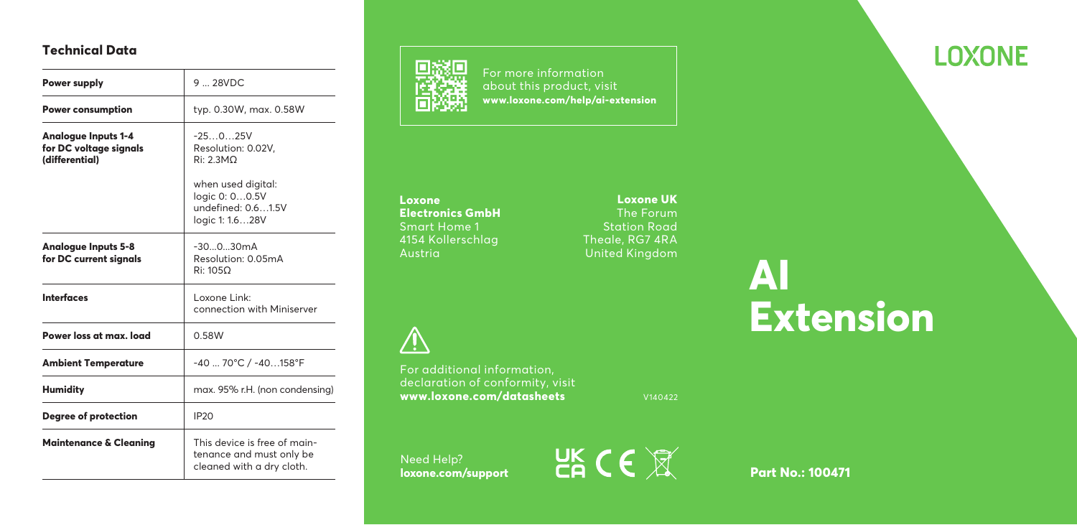# **Technical Data**

| Power supply                                                    | $9 - 28VDC$                                                                                                                   |  |
|-----------------------------------------------------------------|-------------------------------------------------------------------------------------------------------------------------------|--|
| <b>Power consumption</b>                                        | typ. 0.30W, max. 0.58W                                                                                                        |  |
| Analogue Inputs 1-4<br>for DC voltage signals<br>(differential) | $-25025V$<br>Resolution: 0.02V.<br>Ri: 2.3MO<br>when used digital:<br>logic 0: 00.5V<br>undefined: 0.61.5V<br>logic 1: 1.628V |  |
| Analogue Inputs 5-8<br>for DC current signals                   | $-30030mA$<br>Resolution: 0.05mA<br>Ri: 1050                                                                                  |  |
| <b>Interfaces</b>                                               | l oxone Link:<br>connection with Miniserver                                                                                   |  |
| Power loss at max. load                                         | 0.58W                                                                                                                         |  |
| <b>Ambient Temperature</b>                                      | -40  70°C / -40158°F                                                                                                          |  |
| <b>Humidity</b>                                                 | max. 95% r.H. (non condensing)                                                                                                |  |
| <b>Degree of protection</b>                                     | <b>IP20</b>                                                                                                                   |  |
| <b>Maintenance &amp; Cleaning</b>                               | This device is free of main-<br>tenance and must only be<br>cleaned with a dry cloth.                                         |  |



For more information about this product, visit **www.loxone.com/help/ai-extension**

**Loxone Electronics GmbH** Smart Home 1 4154 Kollerschlag

 $\bigwedge$ 

For additional information, declaration of conformity, visit **www.loxone.com/datasheets**

Need Help?<br>**loxone.com/support** 



**LOXONE** 

**Loxone UK** The Forum Station Road Theale, RG7 4RA United Kingdom

**AI Extension**